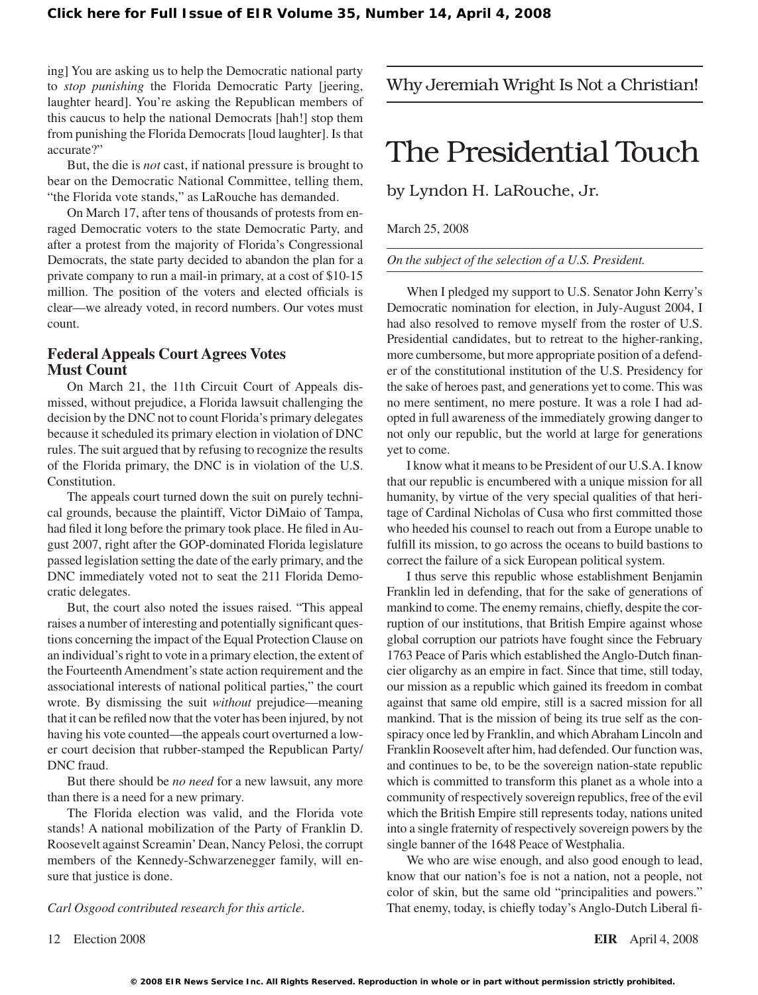ing] You are asking us to help the Democratic national party to *stop punishing* the Florida Democratic Party [jeering, laughter heard]. You're asking the Republican members of this caucus to help the national Democrats [hah!] stop them from punishing the Florida Democrats [loud laughter]. Is that accurate?"

But, the die is *not* cast, if national pressure is brought to bear on the Democratic National Committee, telling them, "the Florida vote stands," as LaRouche has demanded.

On March 17, after tens of thousands of protests from enraged Democratic voters to the state Democratic Party, and after a protest from the majority of Florida's Congressional Democrats, the state party decided to abandon the plan for a private company to run a mail-in primary, at a cost of \$10-15 million. The position of the voters and elected officials is clear—we already voted, in record numbers. Our votes must count.

## **Federal Appeals Court Agrees Votes Must Count**

On March 21, the 11th Circuit Court of Appeals dismissed, without prejudice, a Florida lawsuit challenging the decision by the DNC not to count Florida's primary delegates because it scheduled its primary election in violation of DNC rules. The suit argued that by refusing to recognize the results of the Florida primary, the DNC is in violation of the U.S. Constitution.

The appeals court turned down the suit on purely technical grounds, because the plaintiff, Victor DiMaio of Tampa, had filed it long before the primary took place. He filed inAugust 2007, right after the GOP-dominated Florida legislature passed legislation setting the date of the early primary, and the DNC immediately voted not to seat the 211 Florida Democratic delegates.

But, the court also noted the issues raised. "This appeal raises a number of interesting and potentially significant questions concerning the impact of the Equal Protection Clause on an individual's right to vote in a primary election, the extent of the Fourteenth Amendment's state action requirement and the associational interests of national political parties," the court wrote. By dismissing the suit *without* prejudice—meaning that it can be refiled now that the voter has been injured, by not having his vote counted—the appeals court overturned a lower court decision that rubber-stamped the Republican Party/ DNC fraud.

But there should be *no need* for a new lawsuit, any more than there is a need for a new primary.

The Florida election was valid, and the Florida vote stands! A national mobilization of the Party of Franklin D. Roosevelt against Screamin'Dean, Nancy Pelosi, the corrupt members of the Kennedy-Schwarzenegger family, will ensure that justice is done.

*Carl Osgood contributed research for this article*.

## Why Jeremiah Wright Is Not a Christian!

## The Presidential Touch

by Lyndon H. LaRouche, Jr.

March 25, 2008

*On the subject of the selection of a U.S. President.*

When I pledged my support to U.S. Senator John Kerry's Democratic nomination for election, in July-August 2004, I had also resolved to remove myself from the roster of U.S. Presidential candidates, but to retreat to the higher-ranking, more cumbersome, but more appropriate position of a defender of the constitutional institution of the U.S. Presidency for the sake of heroes past, and generations yet to come. This was no mere sentiment, no mere posture. It was a role I had adopted in full awareness of the immediately growing danger to not only our republic, but the world at large for generations yet to come.

I know what it meansto be President of our U.S.A. I know that our republic is encumbered with a unique mission for all humanity, by virtue of the very special qualities of that heritage of Cardinal Nicholas of Cusa who first committed those who heeded his counsel to reach out from a Europe unable to fulfill its mission, to go across the oceans to build bastions to correct the failure of a sick European political system.

I thus serve this republic whose establishment Benjamin Franklin led in defending, that for the sake of generations of mankind to come. The enemy remains, chiefly, despite the corruption of our institutions, that British Empire against whose global corruption our patriots have fought since the February 1763 Peace of Paris which established the Anglo-Dutch financier oligarchy as an empire in fact. Since that time, still today, our mission as a republic which gained its freedom in combat against that same old empire, still is a sacred mission for all mankind. That is the mission of being its true self as the conspiracy once led by Franklin, and which Abraham Lincoln and Franklin Roosevelt after him, had defended. Our function was, and continues to be, to be the sovereign nation-state republic which is committed to transform this planet as a whole into a community of respectively sovereign republics, free of the evil which the British Empire still represents today, nations united into a single fraternity of respectively sovereign powers by the single banner of the 1648 Peace of Westphalia.

We who are wise enough, and also good enough to lead, know that our nation's foe is not a nation, not a people, not color of skin, but the same old "principalities and powers." That enemy, today, is chiefly today's Anglo-Dutch Liberal fi-

12 Election 2008 **EIR** April 4, 2008